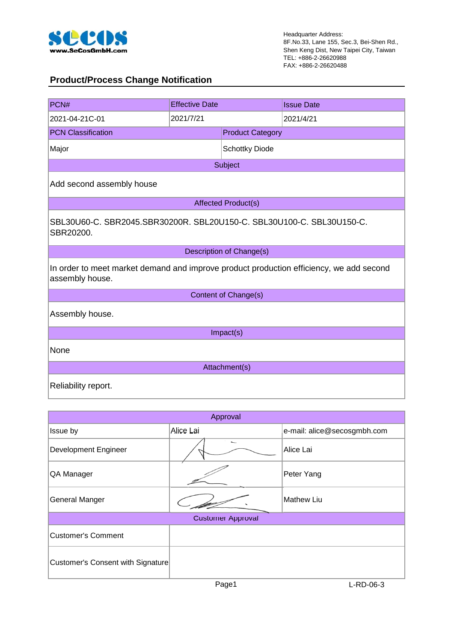

#### **Product/Process Change Notification**

| PCN#                                                                                                       | <b>Effective Date</b>                                                 |                            | <b>Issue Date</b> |  |  |  |  |
|------------------------------------------------------------------------------------------------------------|-----------------------------------------------------------------------|----------------------------|-------------------|--|--|--|--|
| 2021-04-21C-01                                                                                             | 2021/7/21                                                             |                            | 2021/4/21         |  |  |  |  |
| <b>PCN Classification</b>                                                                                  |                                                                       | <b>Product Category</b>    |                   |  |  |  |  |
| Major                                                                                                      |                                                                       | <b>Schottky Diode</b>      |                   |  |  |  |  |
|                                                                                                            |                                                                       | Subject                    |                   |  |  |  |  |
| Add second assembly house                                                                                  |                                                                       |                            |                   |  |  |  |  |
|                                                                                                            |                                                                       | <b>Affected Product(s)</b> |                   |  |  |  |  |
| SBR20200.                                                                                                  | SBL30U60-C. SBR2045.SBR30200R. SBL20U150-C. SBL30U100-C. SBL30U150-C. |                            |                   |  |  |  |  |
|                                                                                                            |                                                                       | Description of Change(s)   |                   |  |  |  |  |
| In order to meet market demand and improve product production efficiency, we add second<br>assembly house. |                                                                       |                            |                   |  |  |  |  |
|                                                                                                            |                                                                       | Content of Change(s)       |                   |  |  |  |  |
| Assembly house.                                                                                            |                                                                       |                            |                   |  |  |  |  |
|                                                                                                            | Impact(s)                                                             |                            |                   |  |  |  |  |
| None                                                                                                       |                                                                       |                            |                   |  |  |  |  |
| Attachment(s)                                                                                              |                                                                       |                            |                   |  |  |  |  |
| Reliability report.                                                                                        |                                                                       |                            |                   |  |  |  |  |

|                                   | Approval                 |                             |  |  |  |  |  |  |
|-----------------------------------|--------------------------|-----------------------------|--|--|--|--|--|--|
| Issue by                          | Alice Lai                | e-mail: alice@secosgmbh.com |  |  |  |  |  |  |
| Development Engineer              |                          | Alice Lai                   |  |  |  |  |  |  |
| QA Manager                        |                          | Peter Yang                  |  |  |  |  |  |  |
| <b>General Manger</b>             |                          | <b>Mathew Liu</b>           |  |  |  |  |  |  |
|                                   | <b>Customer Approval</b> |                             |  |  |  |  |  |  |
| Customer's Comment                |                          |                             |  |  |  |  |  |  |
| Customer's Consent with Signature |                          |                             |  |  |  |  |  |  |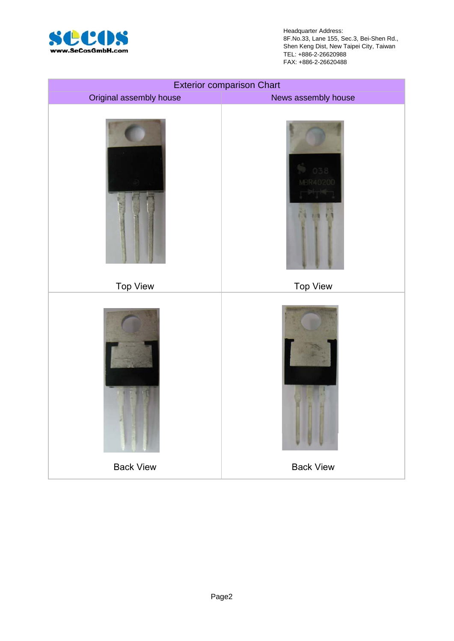

Headquarter Address: 8F.No.33, Lane 155, Sec.3, Bei-Shen Rd., Shen Keng Dist, New Taipei City, Taiwan TEL: +886-2-26620988 FAX: +886-2-26620488

|                         | <b>Exterior comparison Chart</b> |
|-------------------------|----------------------------------|
| Original assembly house | News assembly house              |
|                         |                                  |
| <b>Top View</b>         | <b>Top View</b>                  |
|                         |                                  |
| <b>Back View</b>        | <b>Back View</b>                 |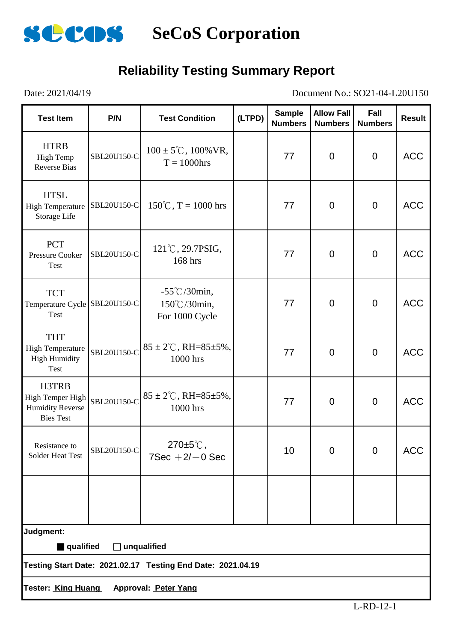

### **Reliability Testing Summary Report**

Date: 2021/04/19 Document No.: SO21-04-L20U150

| <b>Test Item</b>                                                         | P/N         | <b>Test Condition</b>                                       | (LTPD) | <b>Sample</b><br><b>Numbers</b> | <b>Allow Fall</b><br><b>Numbers</b> | Fall<br><b>Numbers</b> | <b>Result</b> |  |  |
|--------------------------------------------------------------------------|-------------|-------------------------------------------------------------|--------|---------------------------------|-------------------------------------|------------------------|---------------|--|--|
| <b>HTRB</b><br><b>High Temp</b><br><b>Reverse Bias</b>                   | SBL20U150-C | $100 \pm 5^{\circ}$ C, $100\%$ VR,<br>$T = 1000$ hrs        |        | 77                              | $\mathbf 0$                         | $\mathbf 0$            | <b>ACC</b>    |  |  |
| <b>HTSL</b><br><b>High Temperature</b><br>Storage Life                   | SBL20U150-C | $150^{\circ}$ C, T = 1000 hrs                               |        | 77                              | $\overline{0}$                      | $\overline{0}$         | <b>ACC</b>    |  |  |
| <b>PCT</b><br><b>Pressure Cooker</b><br>Test                             | SBL20U150-C | $121^{\circ}$ C, 29.7PSIG,<br>168 hrs                       |        | 77                              | $\overline{0}$                      | $\overline{0}$         | <b>ACC</b>    |  |  |
| <b>TCT</b><br>Temperature Cycle SBL20U150-C<br>Test                      |             | $-55^{\circ}$ C/30min,<br>150°C/30min,<br>For 1000 Cycle    |        | 77                              | $\overline{0}$                      | $\overline{0}$         | <b>ACC</b>    |  |  |
| <b>THT</b><br><b>High Temperature</b><br><b>High Humidity</b><br>Test    | SBL20U150-C | $85 \pm 2^{\circ}$ C, RH= $85 \pm 5\%$ ,<br>1000 hrs        |        | 77                              | $\mathbf 0$                         | $\overline{0}$         | <b>ACC</b>    |  |  |
| H3TRB<br>High Temper High<br><b>Humidity Reverse</b><br><b>Bies Test</b> | SBL20U150-C | $85 \pm 2^{\circ}$ C, RH= $85 \pm 5\%$ ,<br>1000 hrs        |        | 77                              | $\overline{0}$                      | $\overline{0}$         | <b>ACC</b>    |  |  |
| Resistance to<br>Solder Heat Test                                        | SBL20U150-C | $270 \pm 5^{\circ}$ C,<br>$7$ Sec $+2$ / $-0$ Sec           |        | 10                              | 0                                   | $\overline{0}$         | <b>ACC</b>    |  |  |
|                                                                          |             |                                                             |        |                                 |                                     |                        |               |  |  |
| Judgment:                                                                |             |                                                             |        |                                 |                                     |                        |               |  |  |
| qualified                                                                | $\perp$     | unqualified                                                 |        |                                 |                                     |                        |               |  |  |
|                                                                          |             | Testing Start Date: 2021.02.17 Testing End Date: 2021.04.19 |        |                                 |                                     |                        |               |  |  |
| Tester: King Huang                                                       |             | Approval: Peter Yang                                        |        |                                 |                                     |                        |               |  |  |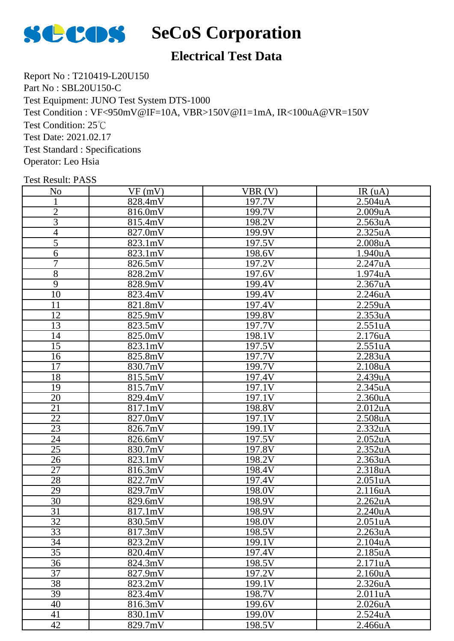

## **SCOS** SeCoS Corporation

### **Electrical Test Data**

Report No : T210419-L20U150 Part No : SBL20U150-C Test Equipment: JUNO Test System DTS-1000 Test Condition : VF<950mV@IF=10A, VBR>150V@I1=1mA, IR<100uA@VR=150V Test Condition: 25℃ Test Date: 2021.02.17 Test Standard : Specifications Operator: Leo Hsia

| N <sub>o</sub>  | VF(mV)                | VBR(V)              | IR(uA)               |
|-----------------|-----------------------|---------------------|----------------------|
|                 | 828.4mV               | 197.7V              | 2.504uA              |
| $\overline{2}$  | 816.0mV               | 199.7V              | 2.009uA              |
| $\overline{3}$  | 815.4mV               | 198.2V              | 2.563uA              |
| $\overline{4}$  |                       | 199.9V              | 2.325uA              |
| $\overline{5}$  | 827.0mV               |                     |                      |
|                 | 823.1mV               | 197.5V              | 2.008uA              |
| $\overline{6}$  | 823.1mV               | 198.6V              | 1.940uA              |
| $\overline{7}$  | 826.5mV               | 197.2V              | 2.247uA              |
| $\overline{8}$  | 828.2mV               | 197.6V              | 1.974uA              |
| $\overline{9}$  | 828.9mV               | 199.4V              | 2.367uA              |
| $\overline{10}$ | 823.4mV               | 199.4V              | 2.246uA              |
| 11              | 821.8mV               | 197.4V              | 2.259uA              |
| 12              | 825.9mV               | 199.8V              | 2.353uA              |
| 13              | 823.5mV               | 197.7V              | 2.551uA              |
| 14              | 825.0mV               | 198.1V              | 2.176uA              |
| 15              | 823.1mV               | 197.5V              | 2.551uA              |
| 16              | 825.8mV               | $\overline{197.7V}$ | 2.283uA              |
| $\overline{17}$ | 830.7mV               | 199.7V              | 2.108uA              |
| 18              | 815.5mV               | 197.4V              | 2.439uA              |
| 19              | $\overline{8}$ 15.7mV | 197.1V              | 2.345uA              |
| 20              | 829.4mV               | 197.1V              | 2.360uA              |
| 21              | 817.1mV               | 198.8V              | 2.012 <sub>u</sub> A |
| 22              | 827.0mV               | 197.1V              | 2.508uA              |
| $\overline{23}$ | 826.7mV               | 199.1V              | 2.332uA              |
| 24              | 826.6mV               | 197.5V              | 2.052 <sub>u</sub> A |
| 25              | 830.7mV               | 197.8V              | 2.352uA              |
| 26              | 823.1mV               | 198.2V              | 2.363uA              |
| 27              | 816.3mV               | 198.4V              | $2.318$ uA           |
| 28              | 822.7mV               | 197.4V              | 2.051uA              |
| 29              | 829.7mV               | 198.0V              | 2.116uA              |
| 30              | 829.6mV               | 198.9V              | 2.262uA              |
| $\overline{31}$ | 817.1mV               | 198.9V              | 2.240 <sub>u</sub> A |
| 32              | 830.5mV               | 198.0V              | 2.051uA              |
| 33              | 817.3mV               | 198.5V              | 2.263uA              |
| 34              | 823.2mV               | 199.1V              | 2.104uA              |
| $\overline{35}$ | 820.4mV               | 197.4V              | 2.185uA              |
| 36              | 824.3mV               | 198.5V              | 2.171uA              |
| $\overline{37}$ | 827.9mV               | 197.2V              | $2.160u$ A           |
| 38              | 823.2mV               | 199.1V              | 2.326uA              |
| 39              | 823.4mV               | 198.7V              | 2.011uA              |
| 40              | 816.3mV               | 199.6V              | 2.026uA              |
| 41              | 830.1mV               | 199.0V              | 2.524uA              |
| 42              | 829.7mV               | 198.5V              | 2.466uA              |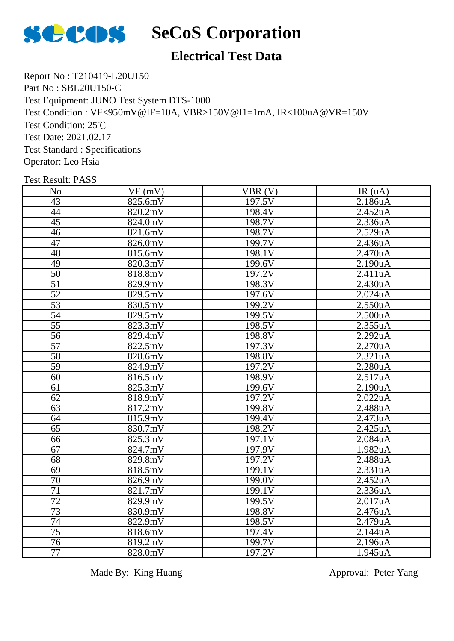

### **SCOS** SeCoS Corporation

### **Electrical Test Data**

Report No : T210419-L20U150 Part No : SBL20U150-C Test Equipment: JUNO Test System DTS-1000 Test Condition : VF<950mV@IF=10A, VBR>150V@I1=1mA, IR<100uA@VR=150V Test Condition: 25℃ Test Date: 2021.02.17 Test Standard : Specifications Operator: Leo Hsia

Test Result: PASS

| N <sub>o</sub>  | VF(mV)     | $VBR(\overline{V})$ | IR(uA)  |
|-----------------|------------|---------------------|---------|
| $\overline{43}$ | 825.6mV    | $\overline{197.5}V$ | 2.186uA |
| 44              | 820.2mV    | 198.4V              | 2.452uA |
| 45              | 824.0mV    | 198.7V              | 2.336uA |
| $\overline{46}$ | 821.6mV    | 198.7V              | 2.529uA |
| $\overline{47}$ | 826.0mV    | $\overline{199.7V}$ | 2.436uA |
| 48              | 815.6mV    | 198.1V              | 2.470uA |
| 49              | 820.3mV    | $\overline{199.6V}$ | 2.190uA |
| $\overline{50}$ | 818.8mV    | 197.2V              | 2.411uA |
| $\overline{51}$ | 829.9mV    | 198.3V              | 2.430uA |
| $\overline{52}$ | 829.5mV    | 197.6V              | 2.024uA |
| $\overline{53}$ | 830.5mV    | 199.2V              | 2.550uA |
| 54              | 829.5mV    | $\overline{199.5V}$ | 2.500uA |
| $\overline{55}$ | 823.3mV    | 198.5V              | 2.355uA |
| 56              | 829.4mV    | 198.8V              | 2.292uA |
| $\overline{57}$ | 822.5mV    | 197.3V              | 2.270uA |
| $\overline{58}$ | 828.6mV    | 198.8V              | 2.321uA |
| $\overline{59}$ | 824.9mV    | 197.2V              | 2.280uA |
| 60              | 816.5mV    | 198.9V              | 2.517uA |
| 61              | 825.3mV    | 199.6V              | 2.190uA |
| 62              | 818.9mV    | 197.2V              | 2.022uA |
| 63              | 817.2mV    | 199.8V              | 2.488uA |
| 64              | 815.9mV    | 199.4V              | 2.473uA |
| $\overline{65}$ | $830.7$ mV | 198.2V              | 2.425uA |
| 66              | 825.3mV    | 197.1V              | 2.084uA |
| $\overline{67}$ | 824.7mV    | 197.9V              | 1.982uA |
| 68              | 829.8mV    | 197.2V              | 2.488uA |
| 69              | 818.5mV    | 199.1V              | 2.331uA |
| $\overline{70}$ | 826.9mV    | 199.0V              | 2.452uA |
| 71              | 821.7mV    | $\overline{199.1V}$ | 2.336uA |
| 72              | 829.9mV    | 199.5V              | 2.017uA |
| 73              | 830.9mV    | 198.8V              | 2.476uA |
| 74              | 822.9mV    | 198.5V              | 2.479uA |
| $\overline{75}$ | 818.6mV    | 197.4V              | 2.144uA |
| 76              | 819.2mV    | 199.7V              | 2.196uA |
| $\overline{77}$ | 828.0mV    | 197.2V              | 1.945uA |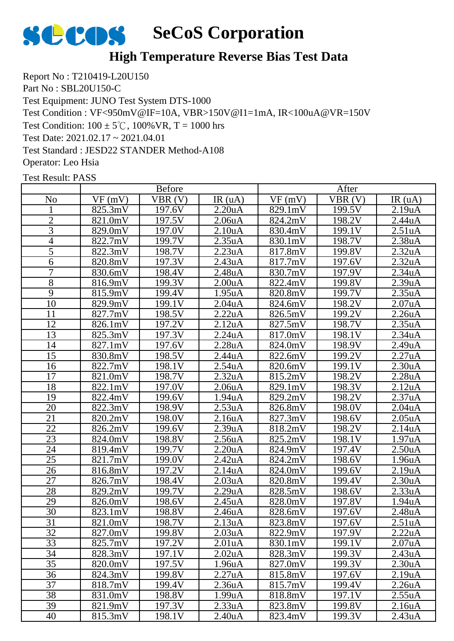

### **High Temperature Reverse Bias Test Data**

Report No : T210419-L20U150 Part No : SBL20U150-C Test Equipment: JUNO Test System DTS-1000 Test Condition : VF<950mV@IF=10A, VBR>150V@I1=1mA, IR<100uA@VR=150V Test Condition:  $100 \pm 5^{\circ}$ C,  $100\%$  VR, T = 1000 hrs Test Date: 2021.02.17 ~ 2021.04.01 Test Standard : JESD22 STANDER Method-A108 Operator: Leo Hsia

|                 |         | <b>Before</b> |                     |                       | After               |                     |
|-----------------|---------|---------------|---------------------|-----------------------|---------------------|---------------------|
| N <sub>0</sub>  | VF(mV)  | VBR(V)        | IR(uA)              | VF(mV)                | VBR(V)              | IR(uA)              |
|                 | 825.3mV | 197.6V        | 2.20 <sub>u</sub> A | 829.1mV               | 199.5V              | 2.19uA              |
| $\overline{2}$  | 821.0mV | 197.5V        | 2.06 <sub>u</sub> A | 824.2mV               | 198.2V              | 2.44uA              |
| 3               | 829.0mV | 197.0V        | 2.10 <sub>u</sub> A | 830.4mV               | 199.1V              | 2.51uA              |
| 4               | 822.7mV | 199.7V        | 2.35uA              | 830.1mV               | 198.7V              | 2.38 <sub>u</sub> A |
| 5               | 822.3mV | 198.7V        | 2.23uA              | 817.8mV               | 199.8V              | 2.32uA              |
| 6               | 820.8mV | 197.3V        | 2.43uA              | 817.7mV               | 197.6V              | 2.32 <sub>u</sub> A |
| 7               | 830.6mV | 198.4V        | 2.48uA              | 830.7mV               | 197.9V              | 2.34uA              |
| 8               | 816.9mV | 199.3V        | 2.00 <sub>u</sub> A | 822.4mV               | 199.8V              | 2.39uA              |
| $\overline{9}$  | 815.9mV | 199.4V        | 1.95uA              | 820.8mV               | 199.7V              | 2.35uA              |
| 10              | 829.9mV | 199.1V        | 2.04 <sub>u</sub> A | 824.6mV               | 198.2V              | 2.07uA              |
| 11              | 827.7mV | 198.5V        | 2.22uA              | 826.5mV               | $\overline{1}99.2V$ | 2.26uA              |
| 12              | 826.1mV | 197.2V        | 2.12uA              | $\overline{82}$ 7.5mV | 198.7V              | 2.35uA              |
| 13              | 825.3mV | 197.3V        | 2.24uA              | 817.0mV               | 198.1V              | 2.34uA              |
| 14              | 827.1mV | 197.6V        | 2.28uA              | 824.0mV               | 198.9V              | 2.49uA              |
| $\overline{15}$ | 830.8mV | 198.5V        | 2.44uA              | 822.6mV               | 199.2V              | 2.27uA              |
| 16              | 822.7mV | 198.1V        | 2.54uA              | 820.6mV               | 199.1V              | 2.30 <sub>u</sub> A |
| 17              | 821.0mV | 198.7V        | 2.32 <sub>u</sub> A | $\overline{8}$ 15.2mV | 198.2V              | 2.28uA              |
| 18              | 822.1mV | 197.0V        | 2.06 <sub>u</sub> A | 829.1mV               | 198.3V              | 2.12 <sub>u</sub> A |
| 19              | 822.4mV | 199.6V        | 1.94uA              | 829.2mV               | 198.2V              | 2.37uA              |
| 20              | 822.3mV | 198.9V        | 2.53uA              | 826.8mV               | 198.0V              | 2.04uA              |
| 21              | 820.2mV | 198.0V        | 2.16 <sub>u</sub> A | 827.3mV               | 198.6V              | 2.05uA              |
| 22              | 826.2mV | 199.6V        | 2.39uA              | 818.2mV               | 198.2V              | 2.14 <sub>u</sub> A |
| 23              | 824.0mV | 198.8V        | 2.56 <sub>u</sub> A | 825.2mV               | 198.1V              | 1.97 <sub>u</sub> A |
| 24              | 819.4mV | 199.7V        | 2.20 <sub>u</sub> A | 824.9mV               | 197.4V              | 2.50 <sub>u</sub> A |
| 25              | 821.7mV | 199.0V        | 2.42uA              | 824.2mV               | 198.6V              | 1.96uA              |
| 26              | 816.8mV | 197.2V        | 2.14 <sub>u</sub> A | 824.0mV               | 199.6V              | 2.19uA              |
| 27              | 826.7mV | 198.4V        | 2.03uA              | 820.8mV               | 199.4V              | 2.30 <sub>u</sub> A |
| 28              | 829.2mV | 199.7V        | 2.29uA              | 828.5mV               | 198.6V              | 2.33uA              |
| 29              | 826.0mV | 198.6V        | 2.45uA              | 828.0mV               | 197.8V              | 1.94uA              |
| 30              | 823.1mV | 198.8V        | 2.46 <sub>u</sub> A | 828.6mV               | 197.6V              | 2.48 <sub>u</sub> A |
| 31              | 821.0mV | 198.7V        | 2.13uA              | 823.8mV               | 197.6V              | 2.51uA              |
| 32              | 827.0mV | 199.8V        | 2.03 <sub>u</sub> A | 822.9mV               | 197.9V              | 2.22uA              |
| 33              | 825.7mV | 197.2V        | 2.01 <sub>u</sub> A | 830.1mV               | 199.1V              | 2.07 <sub>u</sub> A |
| 34              | 828.3mV | 197.1V        | 2.02 <sub>u</sub> A | 828.3mV               | 199.3V              | 2.43 <sub>u</sub> A |
| 35              | 820.0mV | 197.5V        | 1.96 <sub>u</sub> A | 827.0mV               | 199.3V              | 2.30 <sub>u</sub> A |
| 36              | 824.3mV | 199.8V        | 2.27uA              | 815.8mV               | 197.6V              | 2.19 <sub>u</sub> A |
| 37              | 818.7mV | 199.4V        | 2.36 <sub>u</sub> A | 815.7mV               | 199.4V              | 2.26 <sub>u</sub> A |
| 38              | 831.0mV | 198.8V        | 1.99uA              | 818.8mV               | 197.1V              | 2.55uA              |
| 39              | 821.9mV | 197.3V        | 2.33uA              | 823.8mV               | 199.8V              | 2.16 <sub>u</sub> A |
| 40              | 815.3mV | 198.1V        | 2.40 <sub>u</sub> A | 823.4mV               | 199.3V              | 2.43uA              |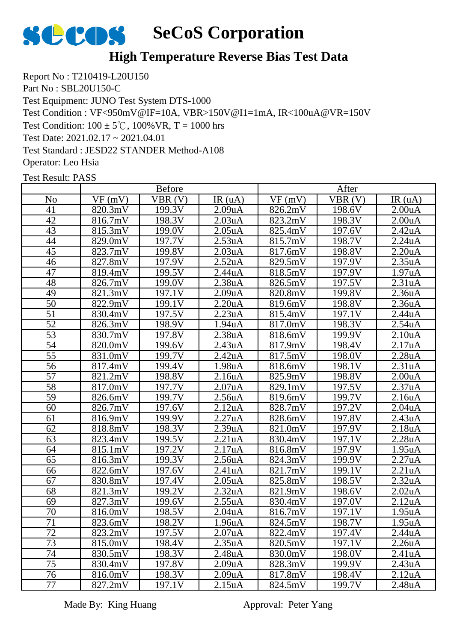

#### **High Temperature Reverse Bias Test Data**

Report No : T210419-L20U150 Part No : SBL20U150-C Test Equipment: JUNO Test System DTS-1000 Test Condition : VF<950mV@IF=10A, VBR>150V@I1=1mA, IR<100uA@VR=150V Test Condition:  $100 \pm 5^{\circ}$ C,  $100\%$  VR, T = 1000 hrs Test Date: 2021.02.17 ~ 2021.04.01 Test Standard : JESD22 STANDER Method-A108 Operator: Leo Hsia

Test Result: PASS

|                 |         | <b>Before</b>       |                      |         | After  |                      |
|-----------------|---------|---------------------|----------------------|---------|--------|----------------------|
| N <sub>0</sub>  | VF(mV)  | VBR(V)              | IR(uA)               | VF(mV)  | VBR(V) | IR(uA)               |
| 41              | 820.3mV | 199.3V              | 2.09uA               | 826.2mV | 198.6V | 2.00 <sub>u</sub> A  |
| 42              | 816.7mV | 198.3V              | 2.03uA               | 823.2mV | 198.3V | 2.00 <sub>u</sub> A  |
| 43              | 815.3mV | 199.0V              | 2.05uA               | 825.4mV | 197.6V | 2.42uA               |
| 44              | 829.0mV | 197.7V              | 2.53uA               | 815.7mV | 198.7V | 2.24uA               |
| 45              | 823.7mV | 199.8V              | $2.03u\underline{A}$ | 817.6mV | 198.8V | $2.20u\underline{A}$ |
| 46              | 827.8mV | 197.9V              | 2.52 <sub>u</sub> A  | 829.5mV | 197.9V | 2.35uA               |
| 47              | 819.4mV | 199.5V              | 2.44uA               | 818.5mV | 197.9V | 1.97uA               |
| 48              | 826.7mV | 199.0V              | 2.38 <sub>u</sub> A  | 826.5mV | 197.5V | 2.31uA               |
| 49              | 821.3mV | 197.1V              | 2.09uA               | 820.8mV | 199.8V | 2.36 <sub>u</sub> A  |
| $\overline{50}$ | 822.9mV | 199.1V              | 2.20 <sub>u</sub> A  | 819.6mV | 198.8V | 2.36 <sub>u</sub> A  |
| $\overline{51}$ | 830.4mV | 197.5V              | $\overline{2.23}$ uA | 815.4mV | 197.1V | 2.44uA               |
| $\overline{52}$ | 826.3mV | 198.9V              | 1.94uA               | 817.0mV | 198.3V | 2.54uA               |
| 53              | 830.7mV | 197.8V              | 2.38uA               | 818.6mV | 199.9V | 2.10 <sub>u</sub> A  |
| 54              | 820.0mV | 199.6V              | 2.43uA               | 817.9mV | 198.4V | 2.17uA               |
| $\overline{55}$ | 831.0mV | $\overline{1}99.7V$ | 2.42uA               | 817.5mV | 198.0V | 2.28uA               |
| 56              | 817.4mV | 199.4V              | 1.98uA               | 818.6mV | 198.1V | 2.31uA               |
| $\overline{57}$ | 821.2mV | 198.8V              | 2.16 <sub>u</sub> A  | 825.9mV | 198.8V | 2.00 <sub>u</sub> A  |
| 58              | 817.0mV | 197.7V              | 2.07uA               | 829.1mV | 197.5V | 2.37uA               |
| $\overline{59}$ | 826.6mV | 199.7V              | 2.56uA               | 819.6mV | 199.7V | 2.16uA               |
| 60              | 826.7mV | 197.6V              | 2.12 <sub>u</sub> A  | 828.7mV | 197.2V | 2.04 <sub>u</sub> A  |
| 61              | 816.9mV | 199.9V              | 2.27uA               | 828.6mV | 197.8V | 2.43uA               |
| 62              | 818.8mV | 198.3V              | 2.39uA               | 821.0mV | 197.9V | 2.18uA               |
| 63              | 823.4mV | 199.5V              | 2.21uA               | 830.4mV | 197.1V | 2.28uA               |
| 64              | 815.1mV | 197.2V              | 2.17uA               | 816.8mV | 197.9V | 1.95uA               |
| 65              | 816.3mV | 199.3V              | 2.56uA               | 824.3mV | 199.9V | 2.27uA               |
| 66              | 822.6mV | 197.6V              | 2.41uA               | 821.7mV | 199.1V | 2.21uA               |
| 67              | 830.8mV | 197.4V              | 2.05 <sub>u</sub> A  | 825.8mV | 198.5V | 2.32 <sub>u</sub> A  |
| 68              | 821.3mV | 199.2V              | 2.32 <sub>u</sub> A  | 821.9mV | 198.6V | 2.02 <sub>u</sub> A  |
| 69              | 827.3mV | 199.6V              | 2.55uA               | 830.4mV | 197.0V | 2.12 <sub>u</sub> A  |
| 70              | 816.0mV | 198.5V              | 2.04uA               | 816.7mV | 197.1V | 1.95uA               |
| 71              | 823.6mV | 198.2V              | 1.96uA               | 824.5mV | 198.7V | 1.95uA               |
| 72              | 823.2mV | 197.5V              | 2.07 <sub>u</sub> A  | 822.4mV | 197.4V | 2.44 <sub>u</sub> A  |
| 73              | 815.0mV | 198.4V              | 2.35 <sub>u</sub> A  | 820.5mV | 197.1V | 2.26 <sub>u</sub> A  |
| 74              | 830.5mV | 198.3V              | 2.48 <sub>u</sub> A  | 830.0mV | 198.0V | 2.41 <sub>u</sub> A  |
| 75              | 830.4mV | 197.8V              | 2.09 <sub>u</sub> A  | 828.3mV | 199.9V | 2.43uA               |
| 76              | 816.0mV | 198.3V              | 2.09 <sub>u</sub> A  | 817.8mV | 198.4V | 2.12 <sub>u</sub> A  |
| 77              | 827.2mV | 197.1V              | 2.15 <sub>u</sub> A  | 824.5mV | 199.7V | 2.48 <sub>u</sub> A  |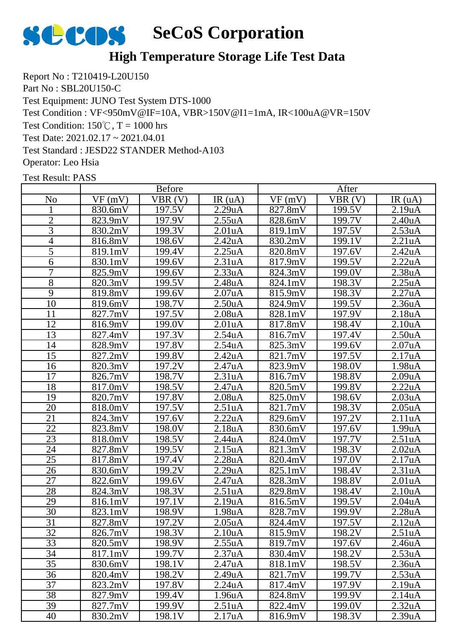

### **High Temperature Storage Life Test Data**

Report No : T210419-L20U150 Part No : SBL20U150-C Test Equipment: JUNO Test System DTS-1000 Test Condition : VF<950mV@IF=10A, VBR>150V@I1=1mA, IR<100uA@VR=150V Test Condition:  $150^{\circ}$ C, T = 1000 hrs Test Date: 2021.02.17 ~ 2021.04.01 Test Standard : JESD22 STANDER Method-A103 Operator: Leo Hsia

|                 |         | <b>Before</b> |                      |         | After  |                         |
|-----------------|---------|---------------|----------------------|---------|--------|-------------------------|
| N <sub>o</sub>  | VF(mV)  | VBR(V)        | IR(uA)               | VF(mV)  | VBR(V) | IR(uA)                  |
|                 | 830.6mV | 197.5V        | 2.29uA               | 827.8mV | 199.5V | 2.19uA                  |
| $\overline{c}$  | 823.9mV | 197.9V        | 2.55uA               | 828.6mV | 199.7V | 2.40 <sub>u</sub> A     |
| 3               | 830.2mV | 199.3V        | 2.01uA               | 819.1mV | 197.5V | 2.53uA                  |
| 4               | 816.8mV | 198.6V        | 2.42 <sub>u</sub> A  | 830.2mV | 199.1V | 2.21uA                  |
| 5               | 819.1mV | 199.4V        | 2.25uA               | 820.8mV | 197.6V | 2.42 <sub>u</sub> A     |
| 6               | 830.1mV | 199.6V        | 2.31uA               | 817.9mV | 199.5V | 2.22uA                  |
| 7               | 825.9mV | 199.6V        | 2.33uA               | 824.3mV | 199.0V | 2.38uA                  |
| $\overline{8}$  | 820.3mV | 199.5V        | 2.48 <sub>u</sub> A  | 824.1mV | 198.3V | 2.25uA                  |
| $\overline{9}$  | 819.8mV | 199.6V        | 2.07uA               | 815.9mV | 198.3V | 2.27uA                  |
| 10              | 819.6mV | 198.7V        | 2.50 <sub>u</sub> A  | 824.9mV | 199.5V | 2.36 <sub>u</sub> A     |
| 11              | 827.7mV | 197.5V        | 2.08 <sub>u</sub> A  | 828.1mV | 197.9V | 2.18 <sub>u</sub> A     |
| 12              | 816.9mV | 199.0V        | 2.01uA               | 817.8mV | 198.4V | 2.10 <sub>u</sub> A     |
| 13              | 827.4mV | 197.3V        | 2.54uA               | 816.7mV | 197.4V | 2.50 <sub>u</sub> A     |
| 14              | 828.9mV | 197.8V        | 2.54uA               | 825.3mV | 199.6V | 2.07 <sub>u</sub> A     |
| $\overline{15}$ | 827.2mV | 199.8V        | 2.42uA               | 821.7mV | 197.5V | $\overline{2.17}$ uA    |
| 16              | 820.3mV | 197.2V        | 2.47uA               | 823.9mV | 198.0V | 1.98uA                  |
| 17              | 826.7mV | 198.7V        | 2.31uA               | 816.7mV | 198.8V | 2.09uA                  |
| 18              | 817.0mV | 198.5V        | 2.47uA               | 820.5mV | 199.8V | 2.22uA                  |
| 19              | 820.7mV | 197.8V        | 2.08 <sub>u</sub> A  | 825.0mV | 198.6V | 2.03 <sub>u</sub> A     |
| 20              | 818.0mV | 197.5V        | 2.51uA               | 821.7mV | 198.3V | 2.05 <sub>u</sub> A     |
| 21              | 824.3mV | 197.6V        | 2.22uA               | 829.6mV | 197.2V | 2.11uA                  |
| 22              | 823.8mV | 198.0V        | 2.18 <sub>u</sub> A  | 830.6mV | 197.6V | 1.99uA                  |
| 23              | 818.0mV | 198.5V        | 2.44 <sub>u</sub> A  | 824.0mV | 197.7V | 2.51 <sub>u</sub> A     |
| 24              | 827.8mV | 199.5V        | 2.15uA               | 821.3mV | 198.3V | 2.02 <sub>u</sub> A     |
| 25              | 817.8mV | 197.4V        | 2.28uA               | 820.4mV | 197.0V | 2.17uA                  |
| 26              | 830.6mV | 199.2V        | $2.29u\underline{A}$ | 825.1mV | 198.4V | 2.31uA                  |
| 27              | 822.6mV | 199.6V        | 2.47uA               | 828.3mV | 198.8V | 2.01 <sub>u</sub> A     |
| 28              | 824.3mV | 198.3V        | 2.51uA               | 829.8mV | 198.4V | $2.10$ u $\overline{A}$ |
| 29              | 816.1mV | 197.1V        | 2.19uA               | 816.5mV | 199.5V | 2.04 <sub>u</sub> A     |
| 30              | 823.1mV | 198.9V        | 1.98uA               | 828.7mV | 199.9V | 2.28uA                  |
| 31              | 827.8mV | 197.2V        | 2.05uA               | 824.4mV | 197.5V | 2.12 <sub>u</sub> A     |
| 32              | 826.7mV | 198.3V        | 2.10 <sub>u</sub> A  | 815.9mV | 198.2V | 2.51 <sub>u</sub> A     |
| 33              | 820.5mV | 198.9V        | 2.55uA               | 819.7mV | 197.6V | 2.46 <sub>u</sub> A     |
| 34              | 817.1mV | 199.7V        | 2.37uA               | 830.4mV | 198.2V | 2.53uA                  |
| 35              | 830.6mV | 198.1V        | 2.47uA               | 818.1mV | 198.5V | 2.36 <sub>u</sub> A     |
| 36              | 820.4mV | 198.2V        | 2.49uA               | 821.7mV | 199.7V | 2.53uA                  |
| 37              | 823.2mV | 197.8V        | 2.24 <sub>u</sub> A  | 817.4mV | 197.9V | 2.19uA                  |
| 38              | 827.9mV | 199.4V        | 1.96 <sub>u</sub> A  | 824.8mV | 199.9V | 2.14 <sub>u</sub> A     |
| 39              | 827.7mV | 199.9V        | 2.51 <sub>u</sub> A  | 822.4mV | 199.0V | 2.32 <sub>u</sub> A     |
| 40              | 830.2mV | 198.1V        | 2.17 <sub>u</sub> A  | 816.9mV | 198.3V | 2.39uA                  |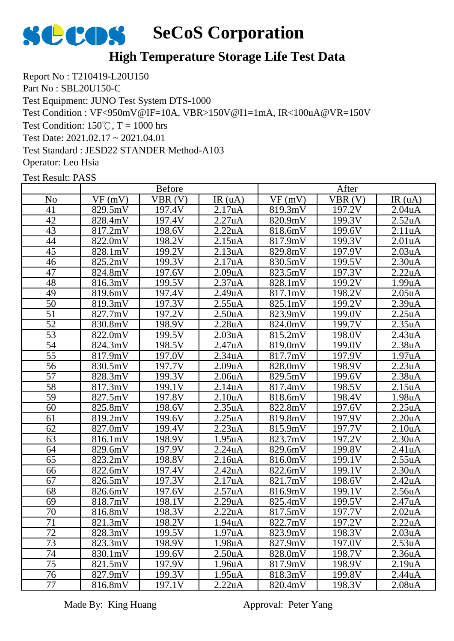

### **High Temperature Storage Life Test Data**

Report No : T210419-L20U150 Part No : SBL20U150-C Test Equipment: JUNO Test System DTS-1000 Test Condition : VF<950mV@IF=10A, VBR>150V@I1=1mA, IR<100uA@VR=150V Test Condition:  $150^{\circ}$ C, T = 1000 hrs Test Date: 2021.02.17 ~ 2021.04.01 Test Standard : JESD22 STANDER Method-A103 Operator: Leo Hsia

Test Result: PASS

|                 | <b>Before</b> |        |                      | After   |                     |                      |
|-----------------|---------------|--------|----------------------|---------|---------------------|----------------------|
| N <sub>0</sub>  | VF(mV)        | VBR(V) | IR(uA)               | VF(mV)  | VBR(V)              | IR(uA)               |
| 41              | 829.5mV       | 197.4V | 2.17uA               | 819.3mV | 197.2V              | 2.04uA               |
| 42              | 828.4mV       | 197.4V | 2.27uA               | 820.9mV | 199.3V              | 2.52uA               |
| 43              | 817.2mV       | 198.6V | 2.22uA               | 818.6mV | 199.6V              | 2.11uA               |
| 44              | 822.0mV       | 198.2V | 2.15 <sub>u</sub> A  | 817.9mV | 199.3V              | 2.01 <sub>u</sub> A  |
| 45              | 828.1mV       | 199.2V | 2.13uA               | 829.8mV | 197.9V              | $2.03u\underline{A}$ |
| 46              | 825.2mV       | 199.3V | 2.17uA               | 830.5mV | 199.5V              | 2.30 <sub>u</sub> A  |
| 47              | 824.8mV       | 197.6V | 2.09uA               | 823.5mV | 197.3V              | 2.22uA               |
| 48              | 816.3mV       | 199.5V | 2.37uA               | 828.1mV | 199.2V              | 1.99uA               |
| 49              | 819.6mV       | 197.4V | 2.49uA               | 817.1mV | 198.2V              | 2.05uA               |
| 50              | 819.3mV       | 197.3V | 2.55uA               | 825.1mV | 199.2V              | 2.39uA               |
| $\overline{51}$ | 827.7mV       | 197.2V | 2.50 <sub>u</sub> A  | 823.9mV | $\overline{1}99.0V$ | 2.25uA               |
| $\overline{52}$ | 830.8mV       | 198.9V | 2.28uA               | 824.0mV | 199.7V              | 2.35uA               |
| 53              | 822.0mV       | 199.5V | 2.03 <sub>u</sub> A  | 815.2mV | 198.0V              | 2.43uA               |
| 54              | 824.3mV       | 198.5V | 2.47uA               | 819.0mV | 199.0V              | 2.38uA               |
| $\overline{55}$ | 817.9mV       | 197.0V | $\overline{2}.34$ uA | 817.7mV | 197.9V              | 1.97uA               |
| $\overline{56}$ | 830.5mV       | 197.7V | 2.09uA               | 828.0mV | 198.9V              | 2.23uA               |
| $\overline{57}$ | 828.3mV       | 199.3V | 2.06 <sub>u</sub> A  | 829.5mV | 199.6V              | 2.38uA               |
| 58              | 817.3mV       | 199.1V | 2.14uA               | 817.4mV | 198.5V              | 2.15uA               |
| $\overline{59}$ | 827.5mV       | 197.8V | 2.10 <sub>u</sub> A  | 818.6mV | 198.4V              | 1.98uA               |
| 60              | 825.8mV       | 198.6V | 2.35uA               | 822.8mV | 197.6V              | 2.25uA               |
| 61              | 819.2mV       | 199.6V | 2.25uA               | 819.8mV | 197.9V              | 2.20uA               |
| 62              | 827.0mV       | 199.4V | 2.23uA               | 815.9mV | 197.7V              | 2.10 <sub>u</sub> A  |
| 63              | 816.1mV       | 198.9V | 1.95 <sub>u</sub> A  | 823.7mV | 197.2V              | 2.30 <sub>u</sub> A  |
| 64              | 829.6mV       | 197.9V | 2.24uA               | 829.6mV | 199.8V              | 2.41uA               |
| $\overline{65}$ | 823.2mV       | 198.8V | 2.16uA               | 816.0mV | 199.1V              | 2.55uA               |
| 66              | 822.6mV       | 197.4V | 2.42 <sub>u</sub> A  | 822.6mV | 199.1V              | 2.30 <sub>u</sub> A  |
| 67              | 826.5mV       | 197.3V | 2.17uA               | 821.7mV | 198.6V              | 2.42uA               |
| 68              | 826.6mV       | 197.6V | 2.57uA               | 816.9mV | 199.1V              | 2.56uA               |
| 69              | 818.7mV       | 198.1V | 2.29uA               | 825.4mV | 199.5V              | 2.47uA               |
| 70              | 816.8mV       | 198.3V | 2.22uA               | 817.5mV | 197.7V              | 2.02 <sub>u</sub> A  |
| 71              | 821.3mV       | 198.2V | 1.94uA               | 822.7mV | 197.2V              | 2.22uA               |
| 72              | 828.3mV       | 199.5V | 1.97 <sub>u</sub> A  | 823.9mV | 198.3V              | 2.03 <sub>u</sub> A  |
| $\overline{73}$ | 823.3mV       | 198.9V | 1.98 <sub>u</sub> A  | 827.9mV | 197.0V              | 2.53 <sub>u</sub> A  |
| 74              | 830.1mV       | 199.6V | 2.50 <sub>u</sub> A  | 828.0mV | 198.7V              | 2.36 <sub>u</sub> A  |
| 75              | 821.5mV       | 197.9V | 1.96uA               | 817.9mV | 198.9V              | 2.19uA               |
| 76              | 827.9mV       | 199.3V | 1.95 <sub>u</sub> A  | 818.3mV | 199.8V              | 2.44 <sub>u</sub> A  |
| 77              | 816.8mV       | 197.1V | 2.22uA               | 820.4mV | 198.3V              | 2.08 <sub>u</sub> A  |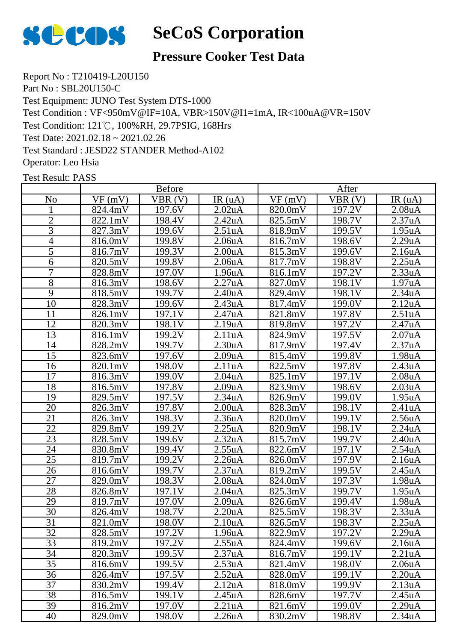

#### **Pressure Cooker Test Data**

Report No : T210419-L20U150 Part No : SBL20U150-C Test Equipment: JUNO Test System DTS-1000 Test Condition : VF<950mV@IF=10A, VBR>150V@I1=1mA, IR<100uA@VR=150V Test Condition: 121℃, 100%RH, 29.7PSIG, 168Hrs Test Date: 2021.02.18 ~ 2021.02.26 Test Standard : JESD22 STANDER Method-A102 Operator: Leo Hsia

|                 |         | <b>Before</b> |                      |         | After  |                     |
|-----------------|---------|---------------|----------------------|---------|--------|---------------------|
| N <sub>0</sub>  | VF(mV)  | VBR(V)        | IR(uA)               | VF(mV)  | VBR(V) | IR $(uA)$           |
|                 | 824.4mV | 197.6V        | 2.02 <sub>u</sub> A  | 820.0mV | 197.2V | 2.08 <sub>u</sub> A |
| $\overline{2}$  | 822.1mV | 198.4V        | 2.42 <sub>u</sub> A  | 825.5mV | 198.7V | 2.37uA              |
| 3               | 827.3mV | 199.6V        | 2.51uA               | 818.9mV | 199.5V | 1.95uA              |
| 4               | 816.0mV | 199.8V        | 2.06 <sub>u</sub> A  | 816.7mV | 198.6V | 2.29uA              |
| 5               | 816.7mV | 199.3V        | $2.00u\underline{A}$ | 815.3mV | 199.6V | 2.16uA              |
| 6               | 820.5mV | 199.8V        | 2.06 <sub>u</sub> A  | 817.7mV | 198.8V | 2.25uA              |
| 7               | 828.8mV | 197.0V        | 1.96uA               | 816.1mV | 197.2V | 2.33uA              |
| $\overline{8}$  | 816.3mV | 198.6V        | 2.27uA               | 827.0mV | 198.1V | 1.97uA              |
| 9               | 818.5mV | 199.7V        | 2.40 <sub>u</sub> A  | 829.4mV | 198.1V | 2.34uA              |
| 10              | 828.3mV | 199.6V        | 2.43uA               | 817.4mV | 199.0V | 2.12 <sub>u</sub> A |
| 11              | 826.1mV | 197.1V        | 2.47uA               | 821.8mV | 197.8V | 2.51uA              |
| 12              | 820.3mV | 198.1V        | 2.19uA               | 819.8mV | 197.2V | 2.47uA              |
| 13              | 816.1mV | 199.2V        | 2.11uA               | 824.9mV | 197.5V | 2.07uA              |
| 14              | 828.2mV | 199.7V        | 2.30uA               | 817.9mV | 197.4V | 2.37uA              |
| 15              | 823.6mV | 197.6V        | 2.09uA               | 815.4mV | 199.8V | 1.98uA              |
| 16              | 820.1mV | 198.0V        | 2.11uA               | 822.5mV | 197.8V | 2.43uA              |
| 17              | 816.3mV | 199.0V        | 2.04 <sub>u</sub> A  | 825.1mV | 197.1V | 2.08 <sub>u</sub> A |
| 18              | 816.5mV | 197.8V        | 2.09uA               | 823.9mV | 198.6V | 2.03 <sub>u</sub> A |
| 19              | 829.5mV | 197.5V        | 2.34 <sub>u</sub> A  | 826.9mV | 199.0V | 1.95 <sub>u</sub> A |
| 20              | 826.3mV | 197.8V        | 2.00 <sub>u</sub> A  | 828.3mV | 198.1V | 2.41uA              |
| $\overline{21}$ | 826.3mV | 198.3V        | 2.36 <sub>u</sub> A  | 820.0mV | 199.1V | 2.56 <sub>u</sub> A |
| 22              | 829.8mV | 199.2V        | 2.25uA               | 820.9mV | 198.1V | 2.24uA              |
| 23              | 828.5mV | 199.6V        | 2.32 <sub>u</sub> A  | 815.7mV | 199.7V | 2.40 <sub>u</sub> A |
| 24              | 830.8mV | 199.4V        | 2.55uA               | 822.6mV | 197.1V | 2.54uA              |
| 25              | 819.7mV | 199.2V        | 2.26 <sub>u</sub> A  | 826.0mV | 197.9V | 2.16 <sub>u</sub> A |
| 26              | 816.6mV | 199.7V        | $2.37u\underline{A}$ | 819.2mV | 199.5V | 2.45uA              |
| 27              | 829.0mV | 198.3V        | 2.08 <sub>u</sub> A  | 824.0mV | 197.3V | 1.98uA              |
| 28              | 826.8mV | 197.1V        | 2.04uA               | 825.3mV | 199.7V | 1.95uA              |
| 29              | 819.7mV | 197.0V        | 2.09uA               | 826.6mV | 199.4V | 1.98uA              |
| 30              | 826.4mV | 198.7V        | 2.20uA               | 825.5mV | 198.3V | 2.33uA              |
| 31              | 821.0mV | 198.0V        | 2.10uA               | 826.5mV | 198.3V | 2.25uA              |
| 32              | 828.5mV | 197.2V        | 1.96 <sub>u</sub> A  | 822.9mV | 197.2V | 2.29 <sub>u</sub> A |
| 33              | 819.2mV | 197.2V        | 2.55uA               | 824.4mV | 199.6V | 2.16uA              |
| 34              | 820.3mV | 199.5V        | 2.37uA               | 816.7mV | 199.1V | 2.21uA              |
| 35              | 816.6mV | 199.5V        | 2.53uA               | 821.4mV | 198.0V | 2.06 <sub>u</sub> A |
| 36              | 826.4mV | 197.5V        | 2.52 <sub>u</sub> A  | 828.0mV | 199.1V | 2.20 <sub>u</sub> A |
| 37              | 830.2mV | 199.4V        | 2.12 <sub>u</sub> A  | 818.0mV | 199.9V | 2.13 <sub>u</sub> A |
| 38              | 816.5mV | 199.1V        | 2.45uA               | 828.6mV | 197.7V | 2.45uA              |
| 39              | 816.2mV | 197.0V        | 2.21 <sub>u</sub> A  | 821.6mV | 199.0V | 2.29uA              |
| 40              | 829.0mV | 198.0V        | 2.26 <sub>u</sub> A  | 830.2mV | 198.8V | 2.34 <sub>u</sub> A |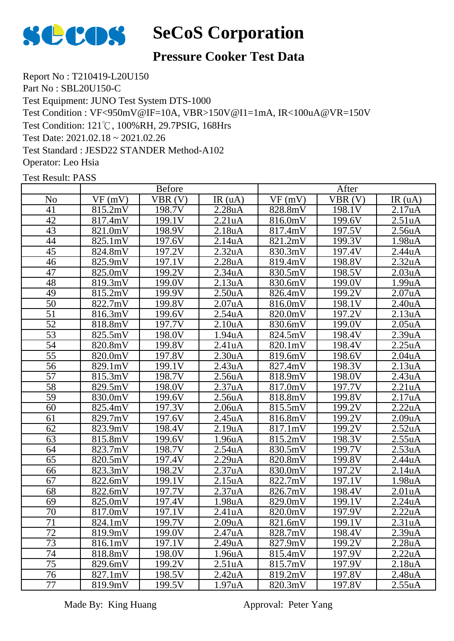

### **Pressure Cooker Test Data**

Report No : T210419-L20U150 Part No : SBL20U150-C Test Equipment: JUNO Test System DTS-1000 Test Condition : VF<950mV@IF=10A, VBR>150V@I1=1mA, IR<100uA@VR=150V Test Condition: 121℃, 100%RH, 29.7PSIG, 168Hrs Test Date: 2021.02.18 ~ 2021.02.26 Test Standard : JESD22 STANDER Method-A102 Operator: Leo Hsia

Test Result: PASS

|                 | <b>Before</b> |                     |                     | After   |        |                                  |
|-----------------|---------------|---------------------|---------------------|---------|--------|----------------------------------|
| N <sub>0</sub>  | VF(mV)        | VBR(V)              | IR(uA)              | VF(mV)  | VBR(V) | IR(uA)                           |
| 41              | 815.2mV       | 198.7V              | 2.28uA              | 828.8mV | 198.1V | 2.17uA                           |
| 42              | 817.4mV       | 199.1V              | 2.21uA              | 816.0mV | 199.6V | 2.51 <sub>u</sub> A              |
| 43              | 821.0mV       | 198.9V              | 2.18uA              | 817.4mV | 197.5V | $2.56\underline{u}\underline{A}$ |
| 44              | 825.1mV       | 197.6V              | 2.14uA              | 821.2mV | 199.3V | 1.98uA                           |
| 45              | 824.8mV       | 197.2V              | 2.32uA              | 830.3mV | 197.4V | 2.44uA                           |
| 46              | 825.9mV       | 197.1V              | 2.28uA              | 819.4mV | 198.8V | 2.32 <sub>u</sub> A              |
| 47              | 825.0mV       | 199.2V              | 2.34uA              | 830.5mV | 198.5V | 2.03uA                           |
| 48              | 819.3mV       | 199.0V              | 2.13uA              | 830.6mV | 199.0V | 1.99uA                           |
| 49              | 815.2mV       | 199.9V              | 2.50 <sub>u</sub> A | 826.4mV | 199.2V | 2.07uA                           |
| $\overline{50}$ | 822.7mV       | 199.8V              | 2.07 <sub>u</sub> A | 816.0mV | 198.1V | 2.40 <sub>u</sub> A              |
| $\overline{51}$ | 816.3mV       | 199.6V              | 2.54uA              | 820.0mV | 197.2V | $\overline{2.}$ 13uA             |
| $\overline{52}$ | 818.8mV       | 197.7V              | 2.10 <sub>u</sub> A | 830.6mV | 199.0V | 2.05 <sub>u</sub> A              |
| 53              | 825.5mV       | 198.0V              | 1.94uA              | 824.5mV | 198.4V | 2.39uA                           |
| 54              | 820.8mV       | 199.8V              | 2.41uA              | 820.1mV | 198.4V | 2.25uA                           |
| $\overline{55}$ | 820.0mV       | 197.8V              | 2.30 <sub>u</sub> A | 819.6mV | 198.6V | 2.04 <sub>u</sub> A              |
| 56              | 829.1mV       | 199.1V              | 2.43 <sub>u</sub> A | 827.4mV | 198.3V | 2.13uA                           |
| $\overline{57}$ | 815.3mV       | 198.7V              | 2.56 <sub>u</sub> A | 818.9mV | 198.0V | 2.43uA                           |
| 58              | 829.5mV       | 198.0V              | 2.37uA              | 817.0mV | 197.7V | 2.21uA                           |
| $\overline{59}$ | 830.0mV       | 199.6V              | 2.56uA              | 818.8mV | 199.8V | 2.17uA                           |
| 60              | 825.4mV       | 197.3V              | 2.06 <sub>u</sub> A | 815.5mV | 199.2V | 2.22uA                           |
| 61              | 829.7mV       | $\overline{1}97.6V$ | 2.45uA              | 816.8mV | 199.2V | 2.09uA                           |
| 62              | 823.9mV       | 198.4V              | 2.19uA              | 817.1mV | 199.2V | 2.52 <sub>u</sub> A              |
| 63              | 815.8mV       | 199.6V              | 1.96uA              | 815.2mV | 198.3V | 2.55uA                           |
| 64              | 823.7mV       | 198.7V              | 2.54uA              | 830.5mV | 199.7V | 2.53uA                           |
| 65              | 820.5mV       | 197.4V              | 2.29uA              | 820.8mV | 199.8V | 2.44uA                           |
| 66              | 823.3mV       | 198.2V              | 2.37uA              | 830.0mV | 197.2V | 2.14uA                           |
| 67              | 822.6mV       | 199.1V              | 2.15uA              | 822.7mV | 197.1V | 1.98uA                           |
| 68              | 822.6mV       | 197.7V              | 2.37 <u>uA</u>      | 826.7mV | 198.4V | 2.01uA                           |
| 69              | 825.0mV       | 197.4V              | 1.98uA              | 829.0mV | 199.1V | 2.24uA                           |
| 70              | 817.0mV       | 197.1V              | 2.41uA              | 820.0mV | 197.9V | 2.22uA                           |
| 71              | 824.1mV       | 199.7V              | 2.09uA              | 821.6mV | 199.1V | 2.31uA                           |
| 72              | 819.9mV       | 199.0V              | 2.47 <sub>u</sub> A | 828.7mV | 198.4V | 2.39uA                           |
| 73              | 816.1mV       | 197.1V              | 2.49uA              | 827.9mV | 199.2V | 2.28 <sub>u</sub> A              |
| 74              | 818.8mV       | 198.0V              | 1.96 <sub>u</sub> A | 815.4mV | 197.9V | 2.22uA                           |
| 75              | 829.6mV       | 199.2V              | 2.51 <sub>u</sub> A | 815.7mV | 197.9V | 2.18uA                           |
| 76              | 827.1mV       | 198.5V              | 2.42 <sub>u</sub> A | 819.2mV | 197.8V | 2.48 <sub>u</sub> A              |
| 77              | 819.9mV       | 199.5V              | 1.97 <sub>u</sub> A | 820.3mV | 197.8V | 2.55uA                           |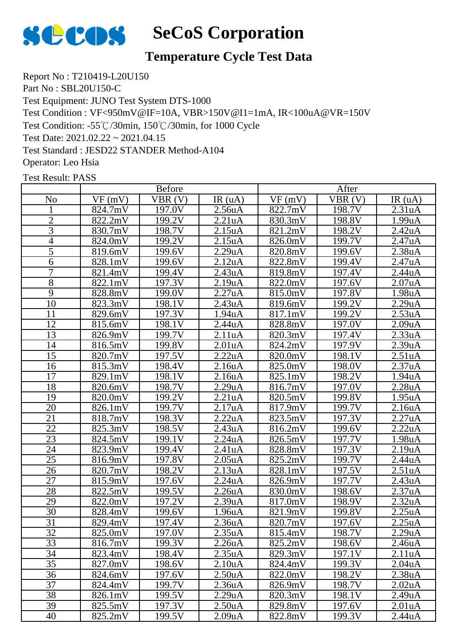

### **Temperature Cycle Test Data**

Report No : T210419-L20U150 Part No : SBL20U150-C Test Equipment: JUNO Test System DTS-1000 Test Condition : VF<950mV@IF=10A, VBR>150V@I1=1mA, IR<100uA@VR=150V Test Condition: -55℃/30min, 150℃/30min, for 1000 Cycle Test Date: 2021.02.22 ~ 2021.04.15 Test Standard : JESD22 STANDER Method-A104 Operator: Leo Hsia

|                 | <b>Before</b>                |        |                      | After   |                     |                     |
|-----------------|------------------------------|--------|----------------------|---------|---------------------|---------------------|
| N <sub>0</sub>  | VF(mV)                       | VBR(V) | IR(uA)               | VF(mV)  | VBR(V)              | IR(uA)              |
|                 | 824.7mV                      | 197.0V | $2.56u\underline{A}$ | 822.7mV | 198.7V              | 2.31 <sub>u</sub> A |
| $\overline{c}$  | 822.2mV                      | 199.2V | 2.21uA               | 830.3mV | 198.8V              | 1.99uA              |
| 3               | 830.7mV                      | 198.7V | 2.15uA               | 821.2mV | 198.2V              | 2.42uA              |
| 4               | 824.0mV                      | 199.2V | 2.15 <sub>u</sub> A  | 826.0mV | 199.7V              | 2.47uA              |
| 5               | 819.6mV                      | 199.6V | 2.29uA               | 820.8mV | 199.6V              | 2.38 <sub>u</sub> A |
| 6               | 828.1mV                      | 199.6V | 2.12 <sub>u</sub> A  | 822.8mV | 199.4V              | 2.47uA              |
| 7               | 821.4mV                      | 199.4V | 2.43uA               | 819.8mV | 197.4V              | 2.44uA              |
| $\overline{8}$  | 822.1mV                      | 197.3V | 2.19uA               | 822.0mV | 197.6V              | 2.07uA              |
| $\overline{9}$  | 828.8mV                      | 199.0V | 2.27uA               | 815.0mV | $\overline{1}97.8V$ | 1.98uA              |
| 10              | 823.3mV                      | 198.1V | 2.43uA               | 819.6mV | 199.2V              | 2.29uA              |
| 11              | 829.6mV                      | 197.3V | 1.94uA               | 817.1mV | 199.2V              | 2.53uA              |
| 12              | 815.6mV                      | 198.1V | 2.44uA               | 828.8mV | 197.0V              | 2.09uA              |
| 13              | 826.9mV                      | 199.7V | 2.11uA               | 820.3mV | 197.4V              | 2.33uA              |
| 14              | 816.5mV                      | 199.8V | 2.01uA               | 824.2mV | 197.9V              | 2.39uA              |
| $\overline{15}$ | 820.7mV                      | 197.5V | 2.22uA               | 820.0mV | 198.1V              | 2.51 <sub>u</sub> A |
| 16              | 815.3mV                      | 198.4V | 2.16uA               | 825.0mV | 198.0V              | 2.37uA              |
| 17              | 829.1mV                      | 198.1V | 2.16uA               | 825.1mV | 198.2V              | 1.94uA              |
| 18              | 820.6mV                      | 198.7V | 2.29uA               | 816.7mV | 197.0V              | 2.28 <sub>u</sub> A |
| 19              | 820.0mV                      | 199.2V | 2.21uA               | 820.5mV | 199.8V              | 1.95uA              |
| 20              | 826.1mV                      | 199.7V | 2.17uA               | 817.9mV | 199.7V              | 2.16 <sub>u</sub> A |
| 21              | 818.7mV                      | 198.3V | 2.22uA               | 823.5mV | 197.3V              | 2.27uA              |
| 22              | 825.3mV                      | 198.5V | 2.43uA               | 816.2mV | 199.6V              | 2.22uA              |
| 23              | 824.5mV                      | 199.1V | 2.24uA               | 826.5mV | 197.7V              | 1.98uA              |
| 24              | 823.9mV                      | 199.4V | 2.41uA               | 828.8mV | 197.3V              | 2.19uA              |
| 25              | 816.9mV                      | 197.8V | 2.05uA               | 825.2mV | 199.7V              | 2.44uA              |
| 26              | $\overline{82}0.7 \text{mV}$ | 198.2V | 2.13uA               | 828.1mV | 197.5V              | 2.51uA              |
| 27              | 815.9mV                      | 197.6V | 2.24uA               | 826.9mV | 197.7V              | 2.43uA              |
| 28              | 822.5mV                      | 199.5V | 2.26uA               | 830.0mV | 198.6V              | 2.37uA              |
| 29              | 822.0mV                      | 197.2V | 2.39uA               | 817.0mV | 198.9V              | 2.32uA              |
| 30              | 828.4mV                      | 199.6V | 1.96uA               | 821.9mV | 199.8V              | 2.25uA              |
| 31              | 829.4mV                      | 197.4V | 2.36 <sub>u</sub> A  | 820.7mV | 197.6V              | 2.25uA              |
| 32              | 825.0mV                      | 197.0V | 2.35 <sub>u</sub> A  | 815.4mV | 198.7V              | 2.29uA              |
| 33              | 816.7mV                      | 199.3V | 2.26 <sub>u</sub> A  | 825.2mV | 198.6V              | 2.46 <sub>u</sub> A |
| 34              | 823.4mV                      | 198.4V | 2.35 <sub>u</sub> A  | 829.3mV | 197.1V              | 2.11uA              |
| 35              | 827.0mV                      | 198.6V | 2.10 <sub>u</sub> A  | 824.4mV | 199.3V              | 2.04 <sub>u</sub> A |
| 36              | 824.6mV                      | 197.6V | 2.50 <sub>u</sub> A  | 822.0mV | 198.2V              | 2.38 <sub>u</sub> A |
| 37              | 824.4mV                      | 199.7V | 2.36 <sub>u</sub> A  | 826.9mV | 198.7V              | 2.02 <sub>u</sub> A |
| 38              | 826.1mV                      | 199.5V | 2.29uA               | 820.3mV | 198.1V              | 2.49 <sub>u</sub> A |
| 39              | 825.5mV                      | 197.3V | 2.50 <sub>u</sub> A  | 829.8mV | 197.6V              | 2.01 <sub>u</sub> A |
| 40              | 825.2mV                      | 199.5V | 2.09 <sub>u</sub> A  | 822.8mV | 199.3V              | 2.44uA              |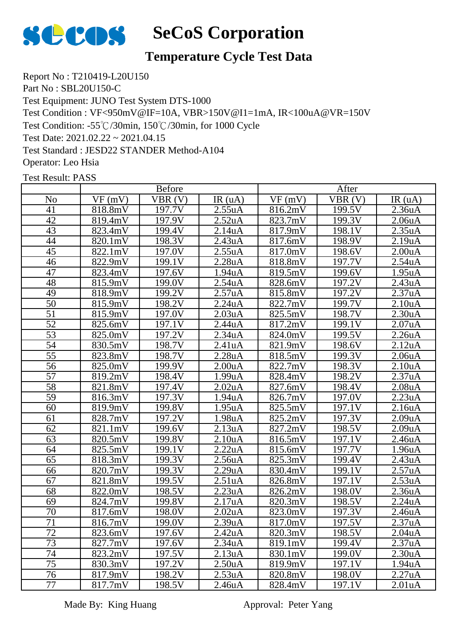

#### **Temperature Cycle Test Data**

Report No : T210419-L20U150 Part No : SBL20U150-C Test Equipment: JUNO Test System DTS-1000 Test Condition : VF<950mV@IF=10A, VBR>150V@I1=1mA, IR<100uA@VR=150V Test Condition: -55℃/30min, 150℃/30min, for 1000 Cycle Test Date: 2021.02.22 ~ 2021.04.15 Test Standard : JESD22 STANDER Method-A104 Operator: Leo Hsia

Test Result: PASS

|                 | <b>Before</b> |        |                      | After   |        |                      |
|-----------------|---------------|--------|----------------------|---------|--------|----------------------|
| N <sub>o</sub>  | VF(mV)        | VBR(V) | IR(uA)               | VF(mV)  | VBR(V) | IR(uA)               |
| 41              | 818.8mV       | 197.7V | 2.55uA               | 816.2mV | 199.5V | 2.36 <sub>u</sub> A  |
| 42              | 819.4mV       | 197.9V | 2.52uA               | 823.7mV | 199.3V | 2.06 <sub>u</sub> A  |
| 43              | 823.4mV       | 199.4V | 2.14 <sub>u</sub> A  | 817.9mV | 198.1V | 2.35uA               |
| 44              | 820.1mV       | 198.3V | 2.43uA               | 817.6mV | 198.9V | 2.19uA               |
| $\overline{45}$ | 822.1mV       | 197.0V | $2.55u\underline{A}$ | 817.0mV | 198.6V | 2.00 <sub>u</sub> A  |
| 46              | 822.9mV       | 199.1V | 2.28uA               | 818.8mV | 197.7V | 2.54uA               |
| 47              | 823.4mV       | 197.6V | $1.94u\underline{A}$ | 819.5mV | 199.6V | $1.95u\underline{A}$ |
| 48              | 815.9mV       | 199.0V | 2.54uA               | 828.6mV | 197.2V | 2.43uA               |
| 49              | 818.9mV       | 199.2V | 2.57uA               | 815.8mV | 197.2V | 2.37uA               |
| 50              | 815.9mV       | 198.2V | 2.24uA               | 822.7mV | 199.7V | 2.10 <sub>u</sub> A  |
| $\overline{51}$ | 815.9mV       | 197.0V | 2.03uA               | 825.5mV | 198.7V | 2.30 <sub>u</sub> A  |
| 52              | 825.6mV       | 197.1V | 2.44uA               | 817.2mV | 199.1V | 2.07uA               |
| $\overline{53}$ | 825.0mV       | 197.2V | 2.34uA               | 824.0mV | 199.5V | 2.26uA               |
| 54              | 830.5mV       | 198.7V | 2.41uA               | 821.9mV | 198.6V | 2.12 <sub>u</sub> A  |
| $\overline{55}$ | 823.8mV       | 198.7V | 2.28uA               | 818.5mV | 199.3V | 2.06 <sub>u</sub> A  |
| 56              | 825.0mV       | 199.9V | 2.00 <sub>u</sub> A  | 822.7mV | 198.3V | 2.10 <sub>u</sub> A  |
| 57              | 819.2mV       | 198.4V | 1.99uA               | 828.4mV | 198.2V | 2.37uA               |
| 58              | 821.8mV       | 197.4V | 2.02 <sub>u</sub> A  | 827.6mV | 198.4V | 2.08 <sub>u</sub> A  |
| 59              | 816.3mV       | 197.3V | 1.94 <sub>u</sub> A  | 826.7mV | 197.0V | 2.23uA               |
| 60              | 819.9mV       | 199.8V | 1.95 <sub>u</sub> A  | 825.5mV | 197.1V | 2.16 <sub>u</sub> A  |
| 61              | 828.7mV       | 197.2V | $\overline{1.98}$ uA | 825.2mV | 197.3V | 2.09uA               |
| 62              | 821.1mV       | 199.6V | 2.13uA               | 827.2mV | 198.5V | $2.09u\underline{A}$ |
| 63              | 820.5mV       | 199.8V | 2.10 <sub>u</sub> A  | 816.5mV | 197.1V | 2.46 <sub>u</sub> A  |
| 64              | 825.5mV       | 199.1V | 2.22uA               | 815.6mV | 197.7V | 1.96uA               |
| 65              | 818.3mV       | 199.3V | 2.56uA               | 825.3mV | 199.4V | 2.43uA               |
| 66              | 820.7mV       | 199.3V | 2.29uA               | 830.4mV | 199.1V | 2.57uA               |
| 67              | 821.8mV       | 199.5V | 2.51 <sub>u</sub> A  | 826.8mV | 197.1V | 2.53uA               |
| 68              | 822.0mV       | 198.5V | 2.23uA               | 826.2mV | 198.0V | 2.36 <sub>u</sub> A  |
| 69              | 824.7mV       | 199.8V | 2.17uA               | 820.3mV | 198.5V | 2.24uA               |
| 70              | 817.6mV       | 198.0V | 2.02 <sub>u</sub> A  | 823.0mV | 197.3V | 2.46 <sub>u</sub> A  |
| $\overline{71}$ | 816.7mV       | 199.0V | 2.39uA               | 817.0mV | 197.5V | 2.37uA               |
| 72              | 823.6mV       | 197.6V | 2.42 <sub>u</sub> A  | 820.3mV | 198.5V | 2.04 <sub>u</sub> A  |
| 73              | 827.7mV       | 197.6V | 2.34 <sub>u</sub> A  | 819.1mV | 199.4V | 2.37 <sub>u</sub> A  |
| 74              | 823.2mV       | 197.5V | 2.13 <sub>u</sub> A  | 830.1mV | 199.0V | 2.30 <sub>u</sub> A  |
| 75              | 830.3mV       | 197.2V | 2.50 <sub>u</sub> A  | 819.9mV | 197.1V | 1.94 <sub>u</sub> A  |
| 76              | 817.9mV       | 198.2V | 2.53uA               | 820.8mV | 198.0V | 2.27uA               |
| 77              | 817.7mV       | 198.5V | 2.46 <sub>u</sub> A  | 828.4mV | 197.1V | 2.01 <sub>u</sub> A  |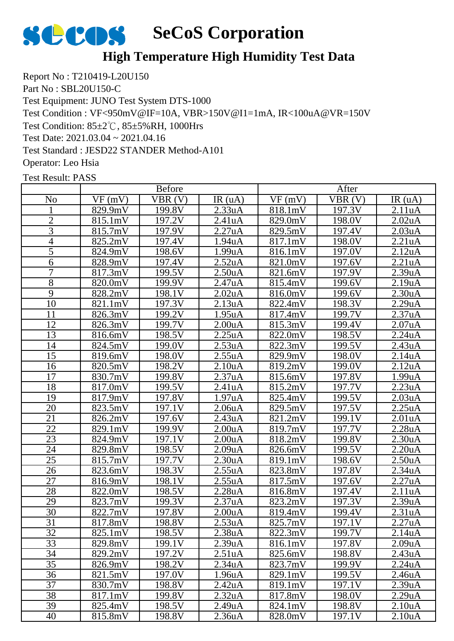

### **High Temperature High Humidity Test Data**

Report No : T210419-L20U150 Part No : SBL20U150-C Test Equipment: JUNO Test System DTS-1000 Test Condition : VF<950mV@IF=10A, VBR>150V@I1=1mA, IR<100uA@VR=150V Test Condition: 85±2℃, 85±5%RH, 1000Hrs Test Date: 2021.03.04 ~ 2021.04.16 Test Standard : JESD22 STANDER Method-A101 Operator: Leo Hsia

|                 |         | <b>Before</b> |                      |         | After  |                     |
|-----------------|---------|---------------|----------------------|---------|--------|---------------------|
| No              | VF(mV)  | VBR(V)        | IR(uA)               | VF(mV)  | VBR(V) | IR $(uA)$           |
|                 | 829.9mV | 199.8V        | 2.33uA               | 818.1mV | 197.3V | 2.11uA              |
| $\overline{c}$  | 815.1mV | 197.2V        | 2.41uA               | 829.0mV | 198.0V | 2.02 <sub>u</sub> A |
| 3               | 815.7mV | 197.9V        | 2.27uA               | 829.5mV | 197.4V | 2.03uA              |
| $\overline{4}$  | 825.2mV | 197.4V        | 1.94uA               | 817.1mV | 198.0V | 2.21uA              |
| 5               | 824.9mV | 198.6V        | 1.99uA               | 816.1mV | 197.0V | 2.12 <sub>u</sub> A |
| 6               | 828.9mV | 197.4V        | 2.52 <sub>u</sub> A  | 821.0mV | 197.6V | 2.21uA              |
| 7               | 817.3mV | 199.5V        | 2.50 <sub>u</sub> A  | 821.6mV | 197.9V | 2.39uA              |
| 8               | 820.0mV | 199.9V        | 2.47uA               | 815.4mV | 199.6V | 2.19uA              |
| 9               | 828.2mV | 198.1V        | 2.02 <sub>u</sub> A  | 816.0mV | 199.6V | 2.30 <sub>u</sub> A |
| 10              | 821.1mV | 197.3V        | 2.13uA               | 822.4mV | 198.3V | 2.29uA              |
| 11              | 826.3mV | 199.2V        | 1.95uA               | 817.4mV | 199.7V | 2.37uA              |
| 12              | 826.3mV | 199.7V        | 2.00 <sub>u</sub> A  | 815.3mV | 199.4V | 2.07uA              |
| 13              | 816.6mV | 198.5V        | 2.25uA               | 822.0mV | 198.5V | 2.24uA              |
| 14              | 824.5mV | 199.0V        | 2.53uA               | 822.3mV | 199.5V | 2.43uA              |
| 15              | 819.6mV | 198.0V        | 2.55uA               | 829.9mV | 198.0V | 2.14 <sub>u</sub> A |
| 16              | 820.5mV | 198.2V        | $\overline{2.10}$ uA | 819.2mV | 199.0V | 2.12 <sub>u</sub> A |
| 17              | 830.7mV | 199.8V        | 2.37uA               | 815.6mV | 197.8V | 1.99uA              |
| 18              | 817.0mV | 199.5V        | 2.41 <sub>u</sub> A  | 815.2mV | 197.7V | 2.23uA              |
| 19              | 817.9mV | 197.8V        | 1.97uA               | 825.4mV | 199.5V | 2.03uA              |
| 20              | 823.5mV | 197.1V        | 2.06 <sub>u</sub> A  | 829.5mV | 197.5V | 2.25uA              |
| 21              | 826.2mV | 197.6V        | 2.43 <sub>u</sub> A  | 821.2mV | 199.1V | 2.01uA              |
| 22              | 829.1mV | 199.9V        | 2.00 <sub>u</sub> A  | 819.7mV | 197.7V | 2.28uA              |
| 23              | 824.9mV | 197.1V        | 2.00 <sub>u</sub> A  | 818.2mV | 199.8V | 2.30uA              |
| 24              | 829.8mV | 198.5V        | 2.09uA               | 826.6mV | 199.5V | 2.20 <sub>u</sub> A |
| 25              | 815.7mV | 197.7V        | 2.30 <sub>u</sub> A  | 819.1mV | 198.6V | 2.50 <sub>u</sub> A |
| 26              | 823.6mV | 198.3V        | 2.55uA               | 823.8mV | 197.8V | 2.34uA              |
| 27              | 816.9mV | 198.1V        | 2.55uA               | 817.5mV | 197.6V | 2.27uA              |
| 28              | 822.0mV | 198.5V        | 2.28uA               | 816.8mV | 197.4V | 2.11uA              |
| 29              | 823.7mV | 199.3V        | 2.37uA               | 823.2mV | 197.3V | 2.39uA              |
| $\overline{30}$ | 822.7mV | 197.8V        | 2.00 <sub>u</sub> A  | 819.4mV | 199.4V | 2.31uA              |
| $\overline{31}$ | 817.8mV | 98.8V         | 2.53uA               | 825.7mV | 197.1V | 2.27uA              |
| 32              | 825.1mV | 198.5V        | 2.38 <sub>u</sub> A  | 822.3mV | 199.7V | 2.14 <sub>u</sub> A |
| 33              | 829.8mV | 199.1V        | 2.39uA               | 816.1mV | 197.8V | 2.09uA              |
| 34              | 829.2mV | 197.2V        | 2.51 <sub>u</sub> A  | 825.6mV | 198.8V | 2.43uA              |
| 35              | 826.9mV | 198.2V        | 2.34 <sub>u</sub> A  | 823.7mV | 199.9V | 2.24uA              |
| 36              | 821.5mV | 197.0V        | 1.96 <sub>u</sub> A  | 829.1mV | 199.5V | 2.46 <sub>u</sub> A |
| 37              | 830.7mV | 198.8V        | 2.42 <sub>u</sub> A  | 819.1mV | 197.1V | 2.39uA              |
| 38              | 817.1mV | 199.8V        | 2.32 <sub>u</sub> A  | 817.8mV | 198.0V | 2.29uA              |
| 39              | 825.4mV | 198.5V        | 2.49uA               | 824.1mV | 198.8V | 2.10 <sub>u</sub> A |
| 40              | 815.8mV | 198.8V        | 2.36 <sub>u</sub> A  | 828.0mV | 197.1V | 2.10 <sub>u</sub> A |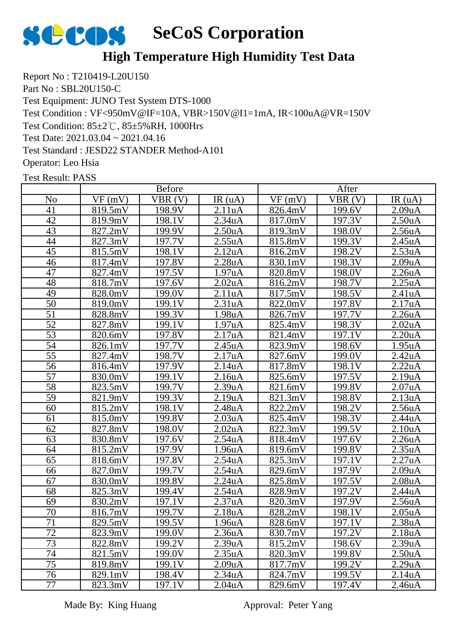

### **High Temperature High Humidity Test Data**

Report No : T210419-L20U150 Part No : SBL20U150-C Test Equipment: JUNO Test System DTS-1000 Test Condition : VF<950mV@IF=10A, VBR>150V@I1=1mA, IR<100uA@VR=150V Test Condition: 85±2℃, 85±5%RH, 1000Hrs Test Date: 2021.03.04 ~ 2021.04.16 Test Standard : JESD22 STANDER Method-A101 Operator: Leo Hsia

Test Result: PASS

|                 | <b>Before</b> |        |                      | After   |                     |                      |
|-----------------|---------------|--------|----------------------|---------|---------------------|----------------------|
| N <sub>o</sub>  | VF(mV)        | VBR(V) | IR(uA)               | VF(mV)  | VBR(V)              | IR(uA)               |
| 41              | 819.5mV       | 198.9V | 2.11uA               | 826.4mV | 199.6V              | 2.09uA               |
| 42              | 819.9mV       | 198.1V | $2.34u\underline{A}$ | 817.0mV | 197.3V              | $2.50u\underline{A}$ |
| 43              | 827.2mV       | 199.9V | 2.50 <sub>u</sub> A  | 819.3mV | 198.0V              | 2.56 <sub>u</sub> A  |
| 44              | 827.3mV       | 197.7V | 2.55uA               | 815.8mV | 199.3V              | 2.45uA               |
| 45              | 815.5mV       | 198.1V | 2.12uA               | 816.2mV | 198.2V              | 2.53uA               |
| 46              | 817.4mV       | 197.8V | 2.28uA               | 830.1mV | 198.3V              | 2.09 <sub>u</sub> A  |
| 47              | 827.4mV       | 197.5V | 1.97uA               | 820.8mV | 198.0V              | 2.26 <sub>u</sub> A  |
| 48              | 818.7mV       | 197.6V | 2.02uA               | 816.2mV | 198.7V              | 2.25uA               |
| 49              | 828.0mV       | 199.0V | 2.11uA               | 817.5mV | 198.5V              | 2.41uA               |
| 50              | 819.0mV       | 199.1V | 2.31uA               | 822.0mV | 197.8V              | 2.17uA               |
| 51              | 828.8mV       | 199.3V | 1.98uA               | 826.7mV | 197.7V              | 2.26uA               |
| 52              | 827.8mV       | 199.1V | 1.97uA               | 825.4mV | 198.3V              | 2.02 <sub>u</sub> A  |
| $\overline{53}$ | 820.6mV       | 197.8V | 2.17uA               | 821.4mV | 197.1V              | 2.20uA               |
| 54              | 826.1mV       | 197.7V | 2.45uA               | 823.9mV | 198.6V              | 1.95uA               |
| 55              | 827.4mV       | 198.7V | 2.17uA               | 827.6mV | 199.0V              | 2.42 <sub>u</sub> A  |
| $\overline{56}$ | 816.4mV       | 197.9V | 2.14uA               | 817.8mV | 198.1V              | 2.22uA               |
| 57              | 830.0mV       | 199.1V | 2.16uA               | 825.6mV | 197.5V              | 2.19uA               |
| $\overline{58}$ | 823.5mV       | 199.7V | 2.39uA               | 821.6mV | 199.8V              | 2.07uA               |
| 59              | 821.9mV       | 199.3V | 2.19uA               | 821.3mV | 198.8V              | 2.13uA               |
| 60              | 815.2mV       | 198.1V | 2.48 <sub>u</sub> A  | 822.2mV | 198.2V              | 2.56uA               |
| 61              | 815.0mV       | 199.8V | 2.03uA               | 825.4mV | 198.3V              | 2.44uA               |
| 62              | 827.8mV       | 198.0V | 2.02 <sub>u</sub> A  | 822.3mV | 199.5V              | 2.10 <sub>u</sub> A  |
| 63              | 830.8mV       | 197.6V | 2.54 <sub>u</sub> A  | 818.4mV | 197.6V              | 2.26 <sub>u</sub> A  |
| 64              | 815.2mV       | 197.9V | 1.96uA               | 819.6mV | 199.8V              | 2.35uA               |
| 65              | 818.6mV       | 197.8V | 2.54uA               | 825.3mV | 197.1V              | 2.27uA               |
| 66              | 827.0mV       | 199.7V | 2.54 <sub>u</sub> A  | 829.6mV | 197.9V              | 2.09uA               |
| 67              | 830.0mV       | 199.8V | 2.24uA               | 825.8mV | 197.5V              | 2.08 <sub>u</sub> A  |
| 68              | 825.3mV       | 199.4V | 2.54uA               | 828.9mV | $\overline{1}97.2V$ | 2.44uA               |
| 69              | 830.2mV       | 197.1V | 2.37uA               | 820.3mV | 197.9V              | 2.56uA               |
| 70              | 816.7mV       | 199.7V | 2.18 <sub>u</sub> A  | 828.2mV | 198.1V              | 2.05 <sub>u</sub> A  |
| 71              | 829.5mV       | 199.5V | 1.96uA               | 828.6mV | 197.1V              | 2.38 <sub>u</sub> A  |
| 72              | 823.9mV       | 199.0V | 2.36 <sub>u</sub> A  | 830.7mV | 197.2V              | 2.18 <sub>u</sub> A  |
| 73              | 822.8mV       | 199.2V | 2.39uA               | 815.2mV | 198.6V              | 2.39 <sub>u</sub> A  |
| 74              | 821.5mV       | 199.0V | 2.35 <sub>u</sub> A  | 820.3mV | 199.8V              | 2.50 <sub>u</sub> A  |
| 75              | 819.8mV       | 199.1V | 2.09 <sub>u</sub> A  | 817.7mV | 199.2V              | 2.29uA               |
| 76              | 829.1mV       | 198.4V | 2.34 <sub>u</sub> A  | 824.7mV | 199.5V              | 2.14 <sub>u</sub> A  |
| 77              | 823.3mV       | 197.1V | 2.04 <sub>u</sub> A  | 829.6mV | 197.4V              | 2.46 <sub>u</sub> A  |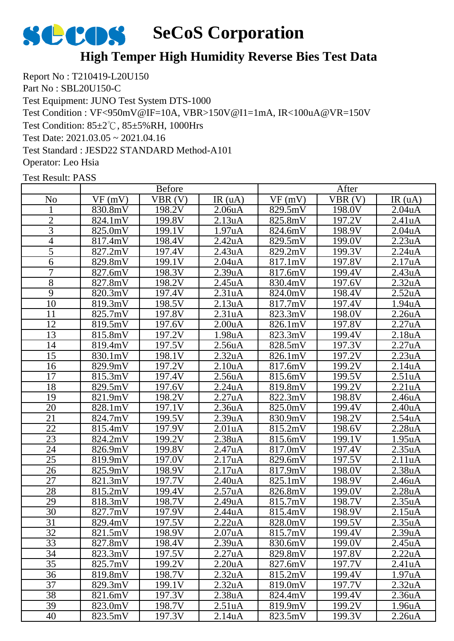

### **High Temper High Humidity Reverse Bies Test Data**

Report No : T210419-L20U150 Part No : SBL20U150-C Test Equipment: JUNO Test System DTS-1000 Test Condition : VF<950mV@IF=10A, VBR>150V@I1=1mA, IR<100uA@VR=150V Test Condition: 85±2℃, 85±5%RH, 1000Hrs Test Date: 2021.03.05 ~ 2021.04.16 Test Standard : JESD22 STANDARD Method-A101 Operator: Leo Hsia

|                | <b>Before</b>         |        |                     | After   |        |                      |  |
|----------------|-----------------------|--------|---------------------|---------|--------|----------------------|--|
| N <sub>0</sub> | VF(mV)                | VBR(V) | IR(uA)              | VF(mV)  | VBR(V) | IR $(uA)$            |  |
|                | 830.8mV               | 198.2V | 2.06 <sub>u</sub> A | 829.5mV | 198.0V | 2.04 <sub>u</sub> A  |  |
| $\overline{2}$ | 824.1mV               | 199.8V | 2.13uA              | 825.8mV | 197.2V | 2.41uA               |  |
| $\overline{3}$ | 825.0mV               | 199.1V | 1.97uA              | 824.6mV | 198.9V | $2.04u\underline{A}$ |  |
| $\overline{4}$ | 817.4mV               | 198.4V | 2.42uA              | 829.5mV | 199.0V | 2.23uA               |  |
| 5              | 827.2mV               | 197.4V | 2.43uA              | 829.2mV | 199.3V | 2.24uA               |  |
| 6              | 829.8mV               | 199.1V | 2.04uA              | 817.1mV | 197.8V | 2.17uA               |  |
| 7              | 827.6mV               | 198.3V | 2.39uA              | 817.6mV | 199.4V | 2.43uA               |  |
| $\overline{8}$ | 827.8mV               | 198.2V | 2.45uA              | 830.4mV | 197.6V | 2.32 <sub>u</sub> A  |  |
| 9              | 820.3mV               | 197.4V | 2.31uA              | 824.0mV | 198.4V | 2.52 <sub>u</sub> A  |  |
| 10             | 819.3mV               | 198.5V | 2.13uA              | 817.7mV | 197.4V | 1.94uA               |  |
| 11             | 825.7mV               | 197.8V | 2.31uA              | 823.3mV | 198.0V | 2.26 <sub>u</sub> A  |  |
| 12             | 819.5mV               | 197.6V | 2.00 <sub>u</sub> A | 826.1mV | 197.8V | 2.27uA               |  |
| 13             | 815.8mV               | 197.2V | 1.98 <sub>u</sub> A | 823.3mV | 199.4V | 2.18uA               |  |
| 14             | 819.4mV               | 197.5V | 2.56 <sub>u</sub> A | 828.5mV | 197.3V | 2.27uA               |  |
| 15             | 830.1mV               | 198.1V | 2.32 <sub>u</sub> A | 826.1mV | 197.2V | 2.23uA               |  |
| 16             | 829.9mV               | 197.2V | 2.10 <sub>u</sub> A | 817.6mV | 199.2V | 2.14uA               |  |
| 17             | 815.3mV               | 197.4V | 2.56 <sub>u</sub> A | 815.6mV | 199.5V | 2.51 <sub>u</sub> A  |  |
| 18             | 829.5mV               | 197.6V | 2.24uA              | 819.8mV | 199.2V | 2.21uA               |  |
| 19             | 821.9mV               | 198.2V | 2.27uA              | 822.3mV | 198.8V | 2.46 <sub>u</sub> A  |  |
| 20             | 828.1mV               | 197.1V | 2.36uA              | 825.0mV | 199.4V | 2.40 <sub>u</sub> A  |  |
| 21             | $\overline{82}$ 4.7mV | 199.5V | 2.39uA              | 830.9mV | 198.2V | 2.54uA               |  |
| 22             | 815.4mV               | 197.9V | 2.01 <sub>u</sub> A | 815.2mV | 198.6V | 2.28 <sub>u</sub> A  |  |
| 23             | 824.2mV               | 199.2V | 2.38 <sub>u</sub> A | 815.6mV | 199.1V | 1.95 <sub>u</sub> A  |  |
| 24             | 826.9mV               | 199.8V | 2.47uA              | 817.0mV | 197.4V | 2.35uA               |  |
| 25             | 819.9mV               | 197.0V | 2.17uA              | 829.6mV | 197.5V | 2.11uA               |  |
| 26             | 825.9mV               | 198.9V | 2.17uA              | 817.9mV | 198.0V | 2.38 <sub>u</sub> A  |  |
| 27             | 821.3mV               | 197.7V | 2.40 <sub>u</sub> A | 825.1mV | 198.9V | 2.46 <sub>u</sub> A  |  |
| 28             | 815.2mV               | 199.4V | 2.57uA              | 826.8mV | 199.0V | 2.28uA               |  |
| 29             | 818.3mV               | 198.7V | 2.49uA              | 815.7mV | 198.7V | 2.35uA               |  |
| 30             | 827.7mV               | 197.9V | 2.44uA              | 815.4mV | 198.9V | 2.15uA               |  |
| 31             | 829.4mV               | 197.5V | 2.22uA              | 828.0mV | 199.5V | 2.35uA               |  |
| 32             | 821.5mV               | 198.9V | 2.07 <sub>u</sub> A | 815.7mV | 199.4V | 2.39 <sub>u</sub> A  |  |
| 33             | 827.8mV               | 198.4V | 2.39 <sub>u</sub> A | 830.6mV | 199.0V | 2.45 <sub>u</sub> A  |  |
| 34             | 823.3mV               | 197.5V | 2.27uA              | 829.8mV | 197.8V | 2.22uA               |  |
| 35             | 825.7mV               | 199.2V | 2.20 <sub>u</sub> A | 827.6mV | 197.7V | 2.41 <sub>u</sub> A  |  |
| 36             | 819.8mV               | 198.7V | 2.32 <sub>u</sub> A | 815.2mV | 199.4V | 1.97uA               |  |
| 37             | 829.3mV               | 199.1V | 2.32 <sub>u</sub> A | 819.0mV | 197.7V | 2.32 <sub>u</sub> A  |  |
| 38             | 821.6mV               | 197.3V | 2.38 <sub>u</sub> A | 824.4mV | 199.4V | 2.36 <sub>u</sub> A  |  |
| 39             | 823.0mV               | 198.7V | 2.51 <sub>u</sub> A | 819.9mV | 199.2V | 1.96 <sub>u</sub> A  |  |
| 40             | 823.5mV               | 197.3V | 2.14 <sub>u</sub> A | 823.5mV | 199.3V | 2.26 <sub>u</sub> A  |  |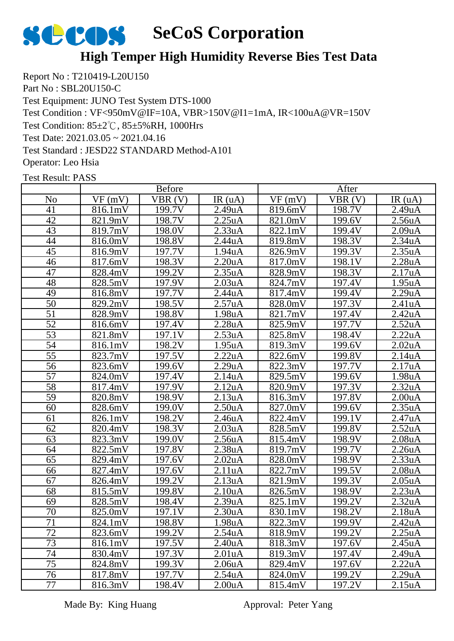

### **High Temper High Humidity Reverse Bies Test Data**

Report No : T210419-L20U150 Part No : SBL20U150-C Test Equipment: JUNO Test System DTS-1000 Test Condition : VF<950mV@IF=10A, VBR>150V@I1=1mA, IR<100uA@VR=150V Test Condition: 85±2℃, 85±5%RH, 1000Hrs Test Date: 2021.03.05 ~ 2021.04.16 Test Standard : JESD22 STANDARD Method-A101 Operator: Leo Hsia

Test Result: PASS

|                 | <b>Before</b> |                     |                      | After   |        |                     |  |
|-----------------|---------------|---------------------|----------------------|---------|--------|---------------------|--|
| N <sub>o</sub>  | VF(mV)        | VBR(V)              | IR(uA)               | VF(mV)  | VBR(V) | IR(uA)              |  |
| 41              | 816.1mV       | 199.7V              | 2.49uA               | 819.6mV | 198.7V | 2.49uA              |  |
| 42              | 821.9mV       | 198.7V              | 2.25uA               | 821.0mV | 199.6V | 2.56 <sub>u</sub> A |  |
| 43              | 819.7mV       | 198.0V              | 2.33uA               | 822.1mV | 199.4V | 2.09uA              |  |
| 44              | 816.0mV       | 198.8V              | 2.44uA               | 819.8mV | 198.3V | 2.34 <sub>u</sub> A |  |
| 45              | 816.9mV       | 197.7V              | $1.94u\underline{A}$ | 826.9mV | 199.3V | 2.35uA              |  |
| 46              | 817.6mV       | 198.3V              | 2.20uA               | 817.0mV | 198.1V | 2.28uA              |  |
| 47              | 828.4mV       | 199.2V              | 2.35uA               | 828.9mV | 198.3V | 2.17uA              |  |
| 48              | 828.5mV       | 197.9V              | 2.03 <sub>u</sub> A  | 824.7mV | 197.4V | 1.95uA              |  |
| 49              | 816.8mV       | 197.7V              | 2.44uA               | 817.4mV | 199.4V | 2.29uA              |  |
| 50              | 829.2mV       | 198.5V              | 2.57uA               | 828.0mV | 197.3V | 2.41uA              |  |
| $\overline{51}$ | 828.9mV       | 198.8V              | 1.98uA               | 821.7mV | 197.4V | 2.42uA              |  |
| $\overline{52}$ | 816.6mV       | 197.4V              | 2.28uA               | 825.9mV | 197.7V | 2.52uA              |  |
| 53              | 821.8mV       | 197.1V              | 2.53uA               | 825.8mV | 198.4V | 2.22uA              |  |
| 54              | 816.1mV       | 198.2V              | 1.95uA               | 819.3mV | 199.6V | 2.02 <sub>u</sub> A |  |
| $\overline{55}$ | 823.7mV       | 197.5V              | 2.22uA               | 822.6mV | 199.8V | 2.14uA              |  |
| $\overline{56}$ | 823.6mV       | 199.6V              | 2.29uA               | 822.3mV | 197.7V | 2.17uA              |  |
| $\overline{57}$ | 824.0mV       | 197.4V              | 2.14uA               | 829.5mV | 199.6V | 1.98uA              |  |
| 58              | 817.4mV       | 197.9V              | 2.12uA               | 820.9mV | 197.3V | 2.32 <sub>u</sub> A |  |
| $\overline{59}$ | 820.8mV       | 198.9V              | 2.13uA               | 816.3mV | 197.8V | 2.00 <sub>u</sub> A |  |
| 60              | 828.6mV       | 199.0V              | 2.50uA               | 827.0mV | 199.6V | 2.35uA              |  |
| 61              | 826.1mV       | $\overline{1}98.2V$ | 2.46 <sub>u</sub> A  | 822.4mV | 199.1V | 2.47uA              |  |
| 62              | 820.4mV       | 198.3V              | 2.03 <sub>u</sub> A  | 828.5mV | 199.8V | 2.52 <sub>u</sub> A |  |
| 63              | 823.3mV       | 199.0V              | 2.56uA               | 815.4mV | 198.9V | 2.08 <sub>u</sub> A |  |
| 64              | 822.5mV       | 197.8V              | 2.38 <sub>u</sub> A  | 819.7mV | 199.7V | 2.26uA              |  |
| 65              | 829.4mV       | 197.6V              | 2.02 <sub>u</sub> A  | 828.0mV | 198.9V | 2.33uA              |  |
| 66              | 827.4mV       | 197.6V              | 2.11uA               | 822.7mV | 199.5V | 2.08 <sub>u</sub> A |  |
| 67              | 826.4mV       | 199.2V              | 2.13uA               | 821.9mV | 199.3V | 2.05 <sub>u</sub> A |  |
| 68              | 815.5mV       | 199.8V              | 2.10uA               | 826.5mV | 198.9V | 2.23uA              |  |
| 69              | 828.5mV       | 198.4V              | 2.39uA               | 825.1mV | 199.2V | 2.32uA              |  |
| 70              | 825.0mV       | 197.1V              | 2.30 <sub>u</sub> A  | 830.1mV | 198.2V | 2.18 <sub>u</sub> A |  |
| 71              | 824.1mV       | 198.8V              | 1.98uA               | 822.3mV | 199.9V | 2.42uA              |  |
| 72              | 823.6mV       | 199.2V              | 2.54 <sub>u</sub> A  | 818.9mV | 199.2V | 2.25 <sub>u</sub> A |  |
| $\overline{73}$ | 816.1mV       | 197.5V              | 2.40 <sub>u</sub> A  | 818.3mV | 197.6V | 2.45 <sub>u</sub> A |  |
| 74              | 830.4mV       | 197.3V              | 2.01 <sub>u</sub> A  | 819.3mV | 197.4V | 2.49 <sub>u</sub> A |  |
| 75              | 824.8mV       | 199.3V              | 2.06 <sub>u</sub> A  | 829.4mV | 197.6V | 2.22uA              |  |
| 76              | 817.8mV       | 197.7V              | 2.54 <sub>u</sub> A  | 824.0mV | 199.2V | 2.29uA              |  |
| 77              | 816.3mV       | 198.4V              | 2.00 <sub>u</sub> A  | 815.4mV | 197.2V | 2.15uA              |  |